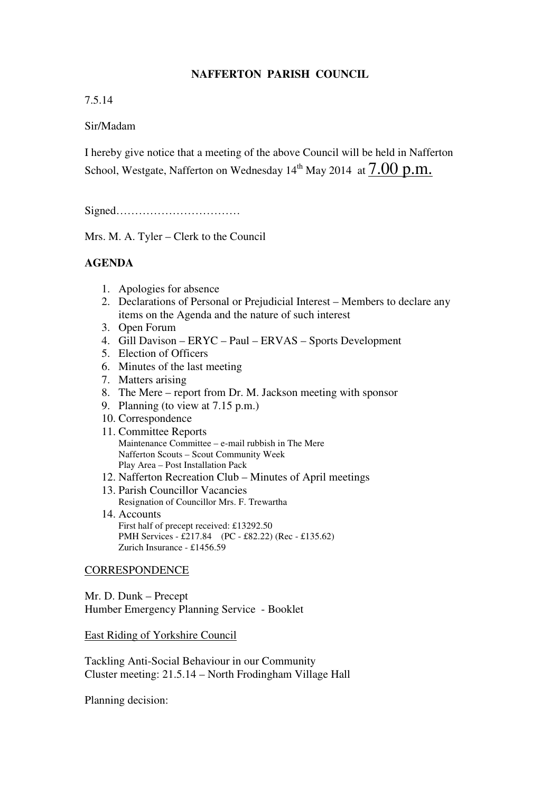## **NAFFERTON PARISH COUNCIL**

## 7.5.14

## Sir/Madam

I hereby give notice that a meeting of the above Council will be held in Nafferton School, Westgate, Nafferton on Wednesday  $14<sup>th</sup>$  May 2014 at  $7.00$  p.m.

Signed……………………………

Mrs. M. A. Tyler – Clerk to the Council

# **AGENDA**

- 1. Apologies for absence
- 2. Declarations of Personal or Prejudicial Interest Members to declare any items on the Agenda and the nature of such interest
- 3. Open Forum
- 4. Gill Davison ERYC Paul ERVAS Sports Development
- 5. Election of Officers
- 6. Minutes of the last meeting
- 7. Matters arising
- 8. The Mere report from Dr. M. Jackson meeting with sponsor
- 9. Planning (to view at 7.15 p.m.)
- 10. Correspondence
- 11. Committee Reports Maintenance Committee – e-mail rubbish in The Mere Nafferton Scouts – Scout Community Week Play Area – Post Installation Pack
- 12. Nafferton Recreation Club Minutes of April meetings
- 13. Parish Councillor Vacancies Resignation of Councillor Mrs. F. Trewartha
- 14. Accounts First half of precept received: £13292.50 PMH Services - £217.84 (PC - £82.22) (Rec - £135.62) Zurich Insurance - £1456.59

### CORRESPONDENCE

Mr. D. Dunk – Precept Humber Emergency Planning Service - Booklet

East Riding of Yorkshire Council

Tackling Anti-Social Behaviour in our Community Cluster meeting: 21.5.14 – North Frodingham Village Hall

Planning decision: